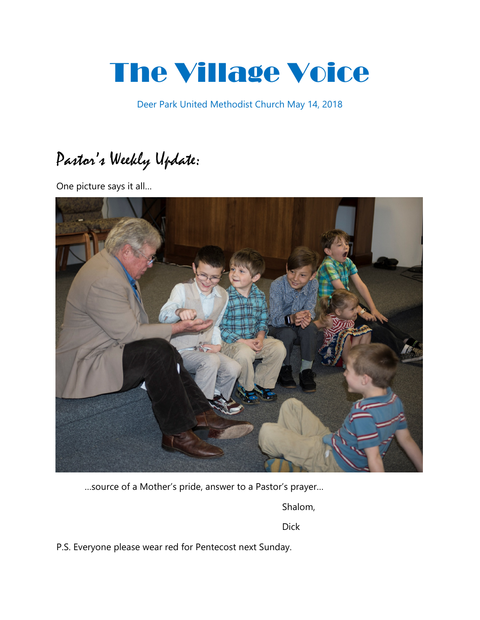# The Village Voice

Deer Park United Methodist Church May 14, 2018

# Pastor's Weekly Update:

One picture says it all…



…source of a Mother's pride, answer to a Pastor's prayer…

Shalom,

Dick

P.S. Everyone please wear red for Pentecost next Sunday.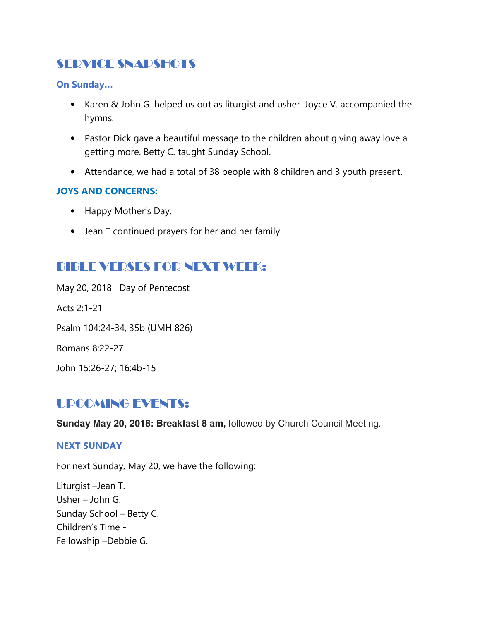# SERVICE SNAPSHOTS

On Sunday…

- Karen & John G. helped us out as liturgist and usher. Joyce V. accompanied the hymns.
- Pastor Dick gave a beautiful message to the children about giving away love a getting more. Betty C. taught Sunday School.
- Attendance, we had a total of 38 people with 8 children and 3 youth present.

### JOYS AND CONCERNS:

- Happy Mother's Day.
- Jean T continued prayers for her and her family.

# BIBLE VERSES FOR NEXT WEEK:

May 20, 2018 Day of Pentecost Acts 2:1-21 Psalm 104:24-34, 35b (UMH 826) Romans 8:22-27 John 15:26-27; 16:4b-15

# UPCOMING EVENTS:

**Sunday May 20, 2018: Breakfast 8 am,** followed by Church Council Meeting.

#### NEXT SUNDAY

For next Sunday, May 20, we have the following:

Liturgist –Jean T. Usher – John G. Sunday School – Betty C. Children's Time - Fellowship –Debbie G.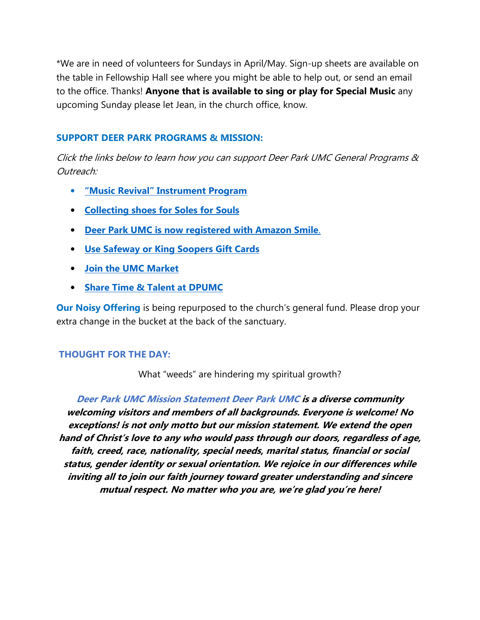\*We are in need of volunteers for Sundays in April/May. Sign-up sheets are available on the table in Fellowship Hall see where you might be able to help out, or send an email to the office. Thanks! Anyone that is available to sing or play for Special Music any upcoming Sunday please let Jean, in the church office, know.

#### SUPPORT DEER PARK PROGRAMS & MISSION:

Click the links below to learn how you can support Deer Park UMC General Programs & Outreach:

- "Music Revival" Instrument Program
- Collecting shoes for Soles for Souls
- Deer Park UMC is now registered with Amazon Smile.
- Use Safeway or King Soopers Gift Cards
- Join the UMC Market
- Share Time & Talent at DPUMC

**Our Noisy Offering** is being repurposed to the church's general fund. Please drop your extra change in the bucket at the back of the sanctuary.

#### THOUGHT FOR THE DAY:

What "weeds" are hindering my spiritual growth?

Deer Park UMC Mission Statement Deer Park UMC is a diverse community welcoming visitors and members of all backgrounds. Everyone is welcome! No exceptions! is not only motto but our mission statement. We extend the open hand of Christ's love to any who would pass through our doors, regardless of age, faith, creed, race, nationality, special needs, marital status, financial or social status, gender identity or sexual orientation. We rejoice in our differences while inviting all to join our faith journey toward greater understanding and sincere mutual respect. No matter who you are, we're glad you're here!